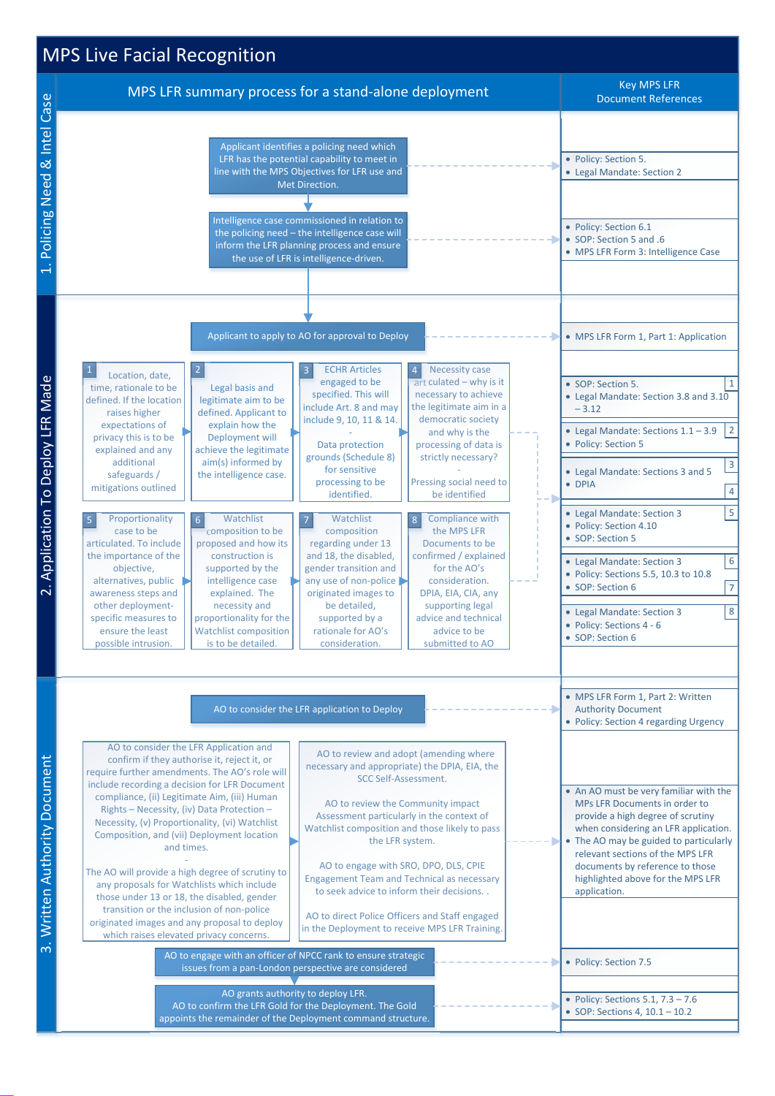